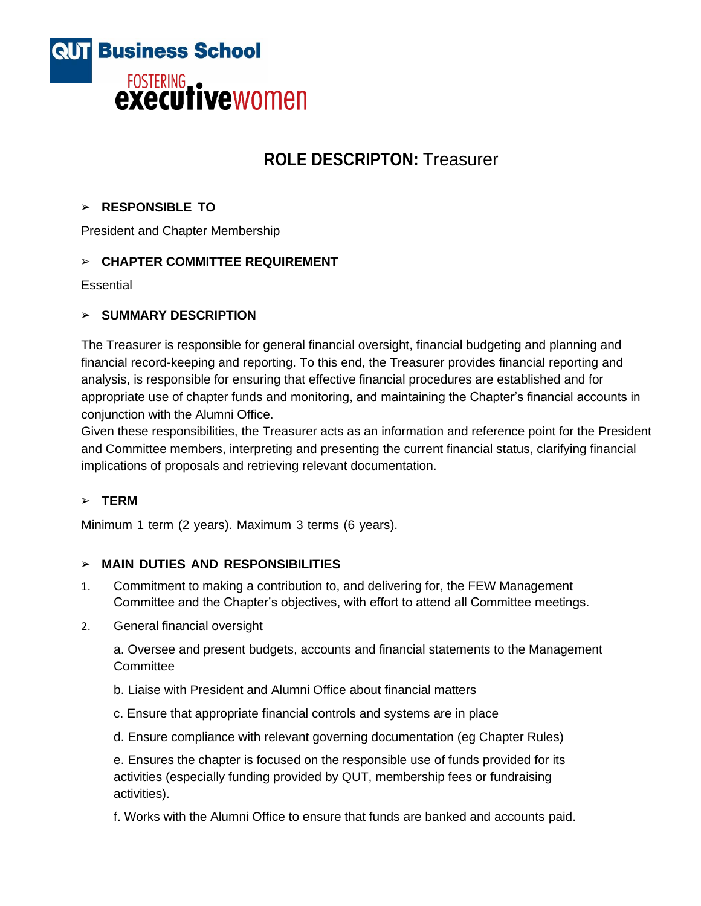

# **ROLE DESCRIPTON:** Treasurer

### ➢ **RESPONSIBLE TO**

President and Chapter Membership

# ➢ **CHAPTER COMMITTEE REQUIREMENT**

**Essential** 

### ➢ **SUMMARY DESCRIPTION**

The Treasurer is responsible for general financial oversight, financial budgeting and planning and financial record-keeping and reporting. To this end, the Treasurer provides financial reporting and analysis, is responsible for ensuring that effective financial procedures are established and for appropriate use of chapter funds and monitoring, and maintaining the Chapter's financial accounts in conjunction with the Alumni Office.

Given these responsibilities, the Treasurer acts as an information and reference point for the President and Committee members, interpreting and presenting the current financial status, clarifying financial implications of proposals and retrieving relevant documentation.

### ➢ **TERM**

Minimum 1 term (2 years). Maximum 3 terms (6 years).

### ➢ **MAIN DUTIES AND RESPONSIBILITIES**

- 1. Commitment to making a contribution to, and delivering for, the FEW Management Committee and the Chapter's objectives, with effort to attend all Committee meetings.
- 2. General financial oversight

a. Oversee and present budgets, accounts and financial statements to the Management **Committee** 

- b. Liaise with President and Alumni Office about financial matters
- c. Ensure that appropriate financial controls and systems are in place
- d. Ensure compliance with relevant governing documentation (eg Chapter Rules)

e. Ensures the chapter is focused on the responsible use of funds provided for its activities (especially funding provided by QUT, membership fees or fundraising activities).

f. Works with the Alumni Office to ensure that funds are banked and accounts paid.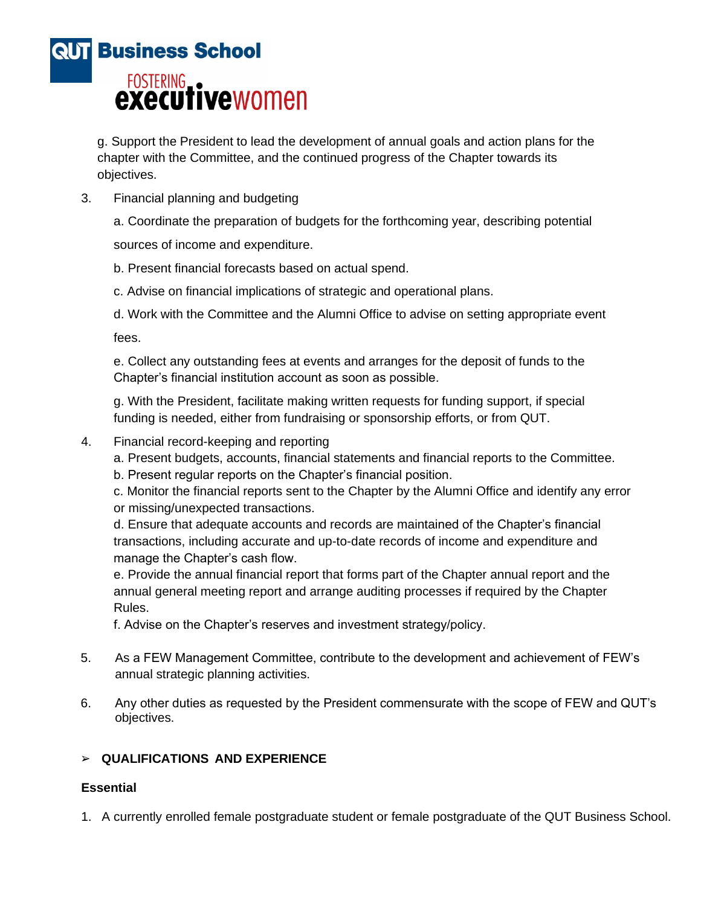

g. Support the President to lead the development of annual goals and action plans for the chapter with the Committee, and the continued progress of the Chapter towards its objectives.

3. Financial planning and budgeting

a. Coordinate the preparation of budgets for the forthcoming year, describing potential

sources of income and expenditure.

b. Present financial forecasts based on actual spend.

c. Advise on financial implications of strategic and operational plans.

d. Work with the Committee and the Alumni Office to advise on setting appropriate event

fees.

e. Collect any outstanding fees at events and arranges for the deposit of funds to the Chapter's financial institution account as soon as possible.

g. With the President, facilitate making written requests for funding support, if special funding is needed, either from fundraising or sponsorship efforts, or from QUT.

- 4. Financial record-keeping and reporting
	- a. Present budgets, accounts, financial statements and financial reports to the Committee.
	- b. Present regular reports on the Chapter's financial position.

c. Monitor the financial reports sent to the Chapter by the Alumni Office and identify any error or missing/unexpected transactions.

d. Ensure that adequate accounts and records are maintained of the Chapter's financial transactions, including accurate and up-to-date records of income and expenditure and manage the Chapter's cash flow.

e. Provide the annual financial report that forms part of the Chapter annual report and the annual general meeting report and arrange auditing processes if required by the Chapter Rules.

f. Advise on the Chapter's reserves and investment strategy/policy.

- 5. As a FEW Management Committee, contribute to the development and achievement of FEW's annual strategic planning activities.
- 6. Any other duties as requested by the President commensurate with the scope of FEW and QUT's objectives.

# ➢ **QUALIFICATIONS AND EXPERIENCE**

# **Essential**

1. A currently enrolled female postgraduate student or female postgraduate of the QUT Business School.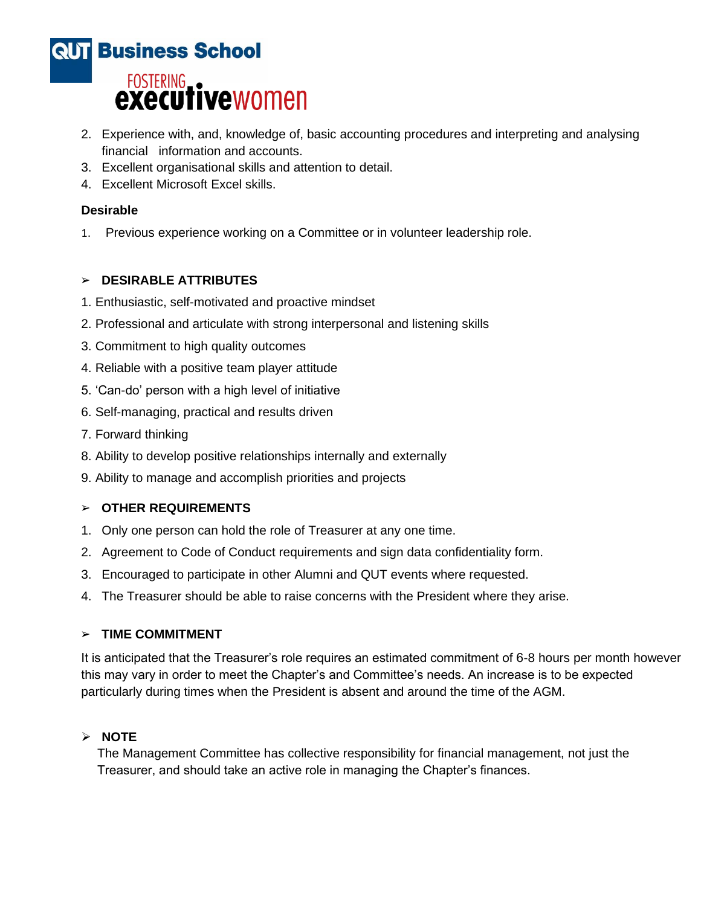

- 2. Experience with, and, knowledge of, basic accounting procedures and interpreting and analysing financial information and accounts.
- 3. Excellent organisational skills and attention to detail.
- 4. Excellent Microsoft Excel skills.

# **Desirable**

1. Previous experience working on a Committee or in volunteer leadership role.

# ➢ **DESIRABLE ATTRIBUTES**

- 1. Enthusiastic, self-motivated and proactive mindset
- 2. Professional and articulate with strong interpersonal and listening skills
- 3. Commitment to high quality outcomes
- 4. Reliable with a positive team player attitude
- 5. 'Can-do' person with a high level of initiative
- 6. Self-managing, practical and results driven
- 7. Forward thinking
- 8. Ability to develop positive relationships internally and externally
- 9. Ability to manage and accomplish priorities and projects

### ➢ **OTHER REQUIREMENTS**

- 1. Only one person can hold the role of Treasurer at any one time.
- 2. Agreement to Code of Conduct requirements and sign data confidentiality form.
- 3. Encouraged to participate in other Alumni and QUT events where requested.
- 4. The Treasurer should be able to raise concerns with the President where they arise.

### ➢ **TIME COMMITMENT**

It is anticipated that the Treasurer's role requires an estimated commitment of 6-8 hours per month however this may vary in order to meet the Chapter's and Committee's needs. An increase is to be expected particularly during times when the President is absent and around the time of the AGM.

# ➢ **NOTE**

The Management Committee has collective responsibility for financial management, not just the Treasurer, and should take an active role in managing the Chapter's finances.